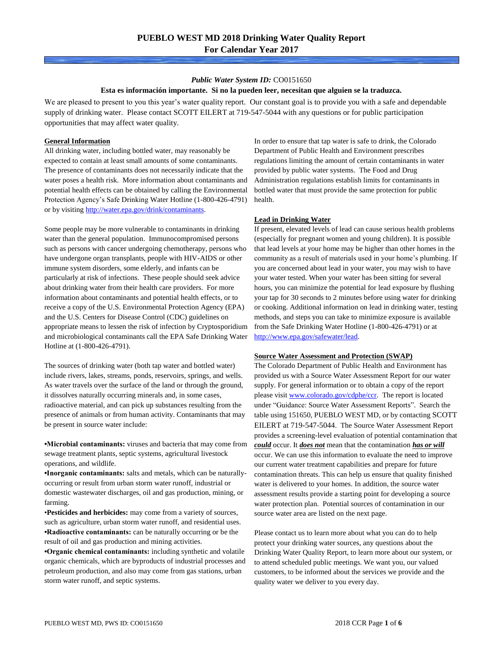### *Public Water System ID:* CO0151650

### **Esta es información importante. Si no la pueden leer, necesitan que alguien se la traduzca.**

We are pleased to present to you this year's water quality report. Our constant goal is to provide you with a safe and dependable supply of drinking water. Please contact SCOTT EILERT at 719-547-5044 with any questions or for public participation opportunities that may affect water quality.

### **General Information**

All drinking water, including bottled water, may reasonably be expected to contain at least small amounts of some contaminants. The presence of contaminants does not necessarily indicate that the water poses a health risk. More information about contaminants and potential health effects can be obtained by calling the Environmental Protection Agency's Safe Drinking Water Hotline (1-800-426-4791) or by visiting [http://water.epa.gov/drink/contaminants.](http://water.epa.gov/drink/contaminants)

Some people may be more vulnerable to contaminants in drinking water than the general population. Immunocompromised persons such as persons with cancer undergoing chemotherapy, persons who have undergone organ transplants, people with HIV-AIDS or other immune system disorders, some elderly, and infants can be particularly at risk of infections. These people should seek advice about drinking water from their health care providers. For more information about contaminants and potential health effects, or to receive a copy of the U.S. Environmental Protection Agency (EPA) and the U.S. Centers for Disease Control (CDC) guidelines on appropriate means to lessen the risk of infection by Cryptosporidium and microbiological contaminants call the EPA Safe Drinking Water Hotline at (1-800-426-4791).

The sources of drinking water (both tap water and bottled water) include rivers, lakes, streams, ponds, reservoirs, springs, and wells. As water travels over the surface of the land or through the ground, it dissolves naturally occurring minerals and, in some cases, radioactive material, and can pick up substances resulting from the presence of animals or from human activity. Contaminants that may be present in source water include:

**•Microbial contaminants:** viruses and bacteria that may come from sewage treatment plants, septic systems, agricultural livestock operations, and wildlife.

**•Inorganic contaminants:** salts and metals, which can be naturallyoccurring or result from urban storm water runoff, industrial or domestic wastewater discharges, oil and gas production, mining, or farming.

•**Pesticides and herbicides:** may come from a variety of sources, such as agriculture, urban storm water runoff, and residential uses. **•Radioactive contaminants:** can be naturally occurring or be the result of oil and gas production and mining activities.

**•Organic chemical contaminants:** including synthetic and volatile organic chemicals, which are byproducts of industrial processes and petroleum production, and also may come from gas stations, urban storm water runoff, and septic systems.

In order to ensure that tap water is safe to drink, the Colorado Department of Public Health and Environment prescribes regulations limiting the amount of certain contaminants in water provided by public water systems. The Food and Drug Administration regulations establish limits for contaminants in bottled water that must provide the same protection for public health.

## **Lead in Drinking Water**

If present, elevated levels of lead can cause serious health problems (especially for pregnant women and young children). It is possible that lead levels at your home may be higher than other homes in the community as a result of materials used in your home's plumbing. If you are concerned about lead in your water, you may wish to have your water tested. When your water has been sitting for several hours, you can minimize the potential for lead exposure by flushing your tap for 30 seconds to 2 minutes before using water for drinking or cooking. Additional information on lead in drinking water, testing methods, and steps you can take to minimize exposure is available from the Safe Drinking Water Hotline (1-800-426-4791) or at [http://www.epa.gov/safewater/lead.](http://www.epa.gov/safewater/lead) 

#### **Source Water Assessment and Protection (SWAP)**

The Colorado Department of Public Health and Environment has provided us with a Source Water Assessment Report for our water supply. For general information or to obtain a copy of the report please visit [www.colorado.gov/cdphe/ccr.](https://www.colorado.gov/cdphe/ccr) The report is located under "Guidance: Source Water Assessment Reports". Search the table using 151650, PUEBLO WEST MD, or by contacting SCOTT EILERT at 719-547-5044. The Source Water Assessment Report provides a screening-level evaluation of potential contamination that *could* occur. It *does not* mean that the contamination *has or will* occur. We can use this information to evaluate the need to improve our current water treatment capabilities and prepare for future contamination threats. This can help us ensure that quality finished water is delivered to your homes. In addition, the source water assessment results provide a starting point for developing a source water protection plan. Potential sources of contamination in our source water area are listed on the next page.

Please contact us to learn more about what you can do to help protect your drinking water sources, any questions about the Drinking Water Quality Report, to learn more about our system, or to attend scheduled public meetings. We want you, our valued customers, to be informed about the services we provide and the quality water we deliver to you every day.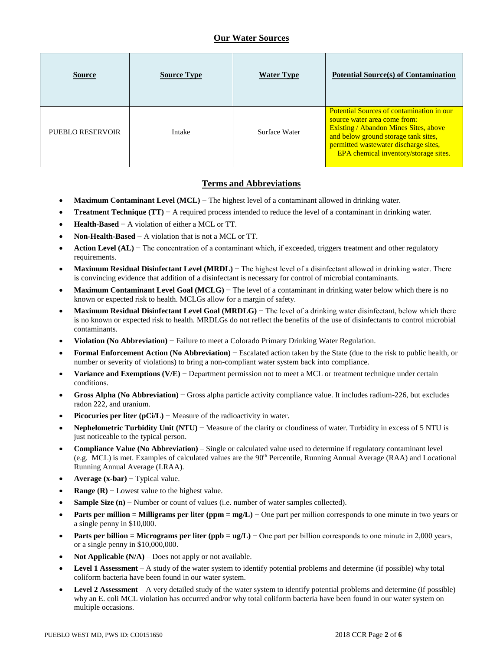# **Our Water Sources**

| <b>Source</b>    | <b>Source Type</b> | <b>Water Type</b> | <b>Potential Source(s) of Contamination</b>                                                                                                                                                                                                         |
|------------------|--------------------|-------------------|-----------------------------------------------------------------------------------------------------------------------------------------------------------------------------------------------------------------------------------------------------|
| PUEBLO RESERVOIR | Intake             | Surface Water     | Potential Sources of contamination in our<br>source water area come from:<br><b>Existing / Abandon Mines Sites, above</b><br>and below ground storage tank sites,<br>permitted wastewater discharge sites,<br>EPA chemical inventory/storage sites. |

# **Terms and Abbreviations**

- **Maximum Contaminant Level (MCL)** − The highest level of a contaminant allowed in drinking water.
- **Treatment Technique (TT)** − A required process intended to reduce the level of a contaminant in drinking water.
- **Health-Based** − A violation of either a MCL or TT.
- **Non-Health-Based** − A violation that is not a MCL or TT.
- **Action Level (AL)** − The concentration of a contaminant which, if exceeded, triggers treatment and other regulatory requirements.
- **Maximum Residual Disinfectant Level (MRDL)** − The highest level of a disinfectant allowed in drinking water. There is convincing evidence that addition of a disinfectant is necessary for control of microbial contaminants.
- **Maximum Contaminant Level Goal (MCLG)** − The level of a contaminant in drinking water below which there is no known or expected risk to health. MCLGs allow for a margin of safety.
- **Maximum Residual Disinfectant Level Goal (MRDLG)** − The level of a drinking water disinfectant, below which there is no known or expected risk to health. MRDLGs do not reflect the benefits of the use of disinfectants to control microbial contaminants.
- **Violation (No Abbreviation)** − Failure to meet a Colorado Primary Drinking Water Regulation.
- **Formal Enforcement Action (No Abbreviation)** − Escalated action taken by the State (due to the risk to public health, or number or severity of violations) to bring a non-compliant water system back into compliance.
- **Variance and Exemptions (V/E)** − Department permission not to meet a MCL or treatment technique under certain conditions.
- **Gross Alpha (No Abbreviation)** − Gross alpha particle activity compliance value. It includes radium-226, but excludes radon 222, and uranium.
- **Picocuries per liter (pCi/L)** − Measure of the radioactivity in water.
- **Nephelometric Turbidity Unit (NTU)** − Measure of the clarity or cloudiness of water. Turbidity in excess of 5 NTU is just noticeable to the typical person.
- **Compliance Value (No Abbreviation)** Single or calculated value used to determine if regulatory contaminant level (e.g. MCL) is met. Examples of calculated values are the 90th Percentile, Running Annual Average (RAA) and Locational Running Annual Average (LRAA).
- **Average (x-bar)** − Typical value.
- **Range (R)**  $-$  Lowest value to the highest value.
- **Sample Size (n)** − Number or count of values (i.e. number of water samples collected).
- **Parts per million = Milligrams per liter (ppm = mg/L)** − One part per million corresponds to one minute in two years or a single penny in \$10,000.
- **Parts per billion = Micrograms per liter (ppb = ug/L)** − One part per billion corresponds to one minute in 2,000 years, or a single penny in \$10,000,000.
- **Not Applicable (N/A)** Does not apply or not available.
- **Level 1 Assessment** A study of the water system to identify potential problems and determine (if possible) why total coliform bacteria have been found in our water system.
- **Level 2 Assessment** A very detailed study of the water system to identify potential problems and determine (if possible) why an E. coli MCL violation has occurred and/or why total coliform bacteria have been found in our water system on multiple occasions.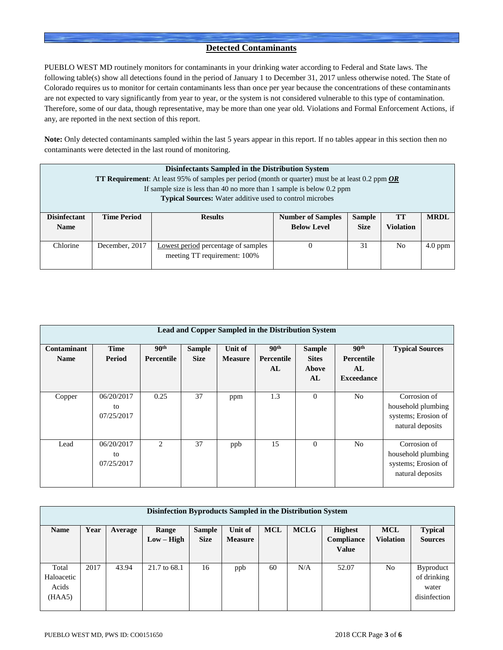# **Detected Contaminants**

PUEBLO WEST MD routinely monitors for contaminants in your drinking water according to Federal and State laws. The following table(s) show all detections found in the period of January 1 to December 31, 2017 unless otherwise noted. The State of Colorado requires us to monitor for certain contaminants less than once per year because the concentrations of these contaminants are not expected to vary significantly from year to year, or the system is not considered vulnerable to this type of contamination. Therefore, some of our data, though representative, may be more than one year old. Violations and Formal Enforcement Actions, if any, are reported in the next section of this report.

**Note:** Only detected contaminants sampled within the last 5 years appear in this report. If no tables appear in this section then no contaminants were detected in the last round of monitoring.

|                                    | Disinfectants Sampled in the Distribution System<br><b>TT Requirement</b> : At least 95% of samples per period (month or quarter) must be at least 0.2 ppm <b>OR</b>   |  |  |  |  |  |  |  |  |  |
|------------------------------------|------------------------------------------------------------------------------------------------------------------------------------------------------------------------|--|--|--|--|--|--|--|--|--|
|                                    | If sample size is less than 40 no more than 1 sample is below 0.2 ppm<br><b>Typical Sources:</b> Water additive used to control microbes                               |  |  |  |  |  |  |  |  |  |
| <b>Disinfectant</b><br><b>Name</b> | <b>Time Period</b><br><b>Sample</b><br><b>TT</b><br><b>MRDL</b><br><b>Results</b><br><b>Number of Samples</b><br><b>Below Level</b><br><b>Violation</b><br><b>Size</b> |  |  |  |  |  |  |  |  |  |
| Chlorine                           | No<br>December, 2017<br>Lowest period percentage of samples<br>31<br>$4.0$ ppm<br>meeting TT requirement: 100%                                                         |  |  |  |  |  |  |  |  |  |

| Lead and Copper Sampled in the Distribution System |                                |                                       |                              |                           |                                      |                                              |                                                           |                                                                               |  |  |
|----------------------------------------------------|--------------------------------|---------------------------------------|------------------------------|---------------------------|--------------------------------------|----------------------------------------------|-----------------------------------------------------------|-------------------------------------------------------------------------------|--|--|
| Contaminant<br><b>Name</b>                         | <b>Time</b><br>Period          | 90 <sup>th</sup><br><b>Percentile</b> | <b>Sample</b><br><b>Size</b> | Unit of<br><b>Measure</b> | 90 <sup>th</sup><br>Percentile<br>AL | <b>Sample</b><br><b>Sites</b><br>Above<br>AL | 90 <sup>th</sup><br>Percentile<br>AL<br><b>Exceedance</b> | <b>Typical Sources</b>                                                        |  |  |
| Copper                                             | 06/20/2017<br>to<br>07/25/2017 | 0.25                                  | 37                           | ppm                       | 1.3                                  | $\mathbf{0}$                                 | N <sub>0</sub>                                            | Corrosion of<br>household plumbing<br>systems; Erosion of<br>natural deposits |  |  |
| Lead                                               | 06/20/2017<br>to<br>07/25/2017 | $\mathfrak{D}_{\mathfrak{p}}$         | 37                           | ppb                       | 15                                   | $\mathbf{0}$                                 | No                                                        | Corrosion of<br>household plumbing<br>systems; Erosion of<br>natural deposits |  |  |

| Disinfection Byproducts Sampled in the Distribution System |      |         |              |               |                |            |             |                |                  |                  |  |
|------------------------------------------------------------|------|---------|--------------|---------------|----------------|------------|-------------|----------------|------------------|------------------|--|
| <b>Name</b>                                                | Year | Average | Range        | <b>Sample</b> | Unit of        | <b>MCL</b> | <b>MCLG</b> | <b>Highest</b> | <b>MCL</b>       | <b>Typical</b>   |  |
|                                                            |      |         | $Low - High$ | <b>Size</b>   | <b>Measure</b> |            |             | Compliance     | <b>Violation</b> | <b>Sources</b>   |  |
|                                                            |      |         |              |               |                |            |             | <b>Value</b>   |                  |                  |  |
|                                                            |      |         |              |               |                |            |             |                |                  |                  |  |
| Total                                                      | 2017 | 43.94   | 21.7 to 68.1 | 16            | ppb            | 60         | N/A         | 52.07          | No               | <b>Byproduct</b> |  |
| Haloacetic                                                 |      |         |              |               |                |            |             |                |                  | of drinking      |  |
| Acids                                                      |      |         |              |               |                |            |             |                |                  | water            |  |
| (HAA5)                                                     |      |         |              |               |                |            |             |                |                  | disinfection     |  |
|                                                            |      |         |              |               |                |            |             |                |                  |                  |  |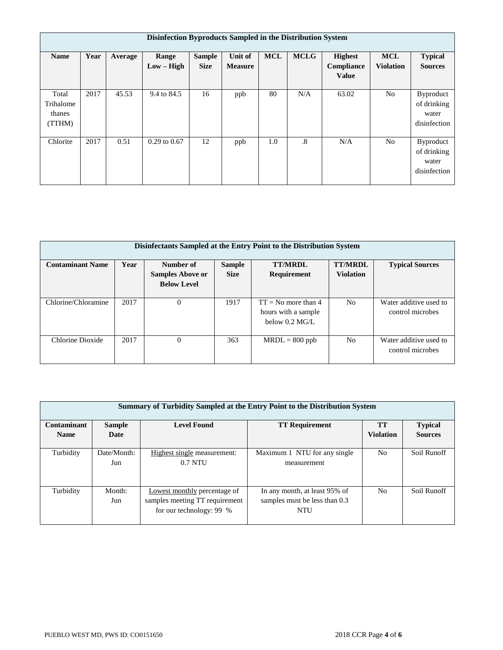|                                        | Disinfection Byproducts Sampled in the Distribution System |         |                       |                              |                                  |            |                        |                                              |                                |                                                          |  |  |
|----------------------------------------|------------------------------------------------------------|---------|-----------------------|------------------------------|----------------------------------|------------|------------------------|----------------------------------------------|--------------------------------|----------------------------------------------------------|--|--|
| <b>Name</b>                            | Year                                                       | Average | Range<br>$Low - High$ | <b>Sample</b><br><b>Size</b> | <b>Unit of</b><br><b>Measure</b> | <b>MCL</b> | <b>MCLG</b>            | <b>Highest</b><br>Compliance<br><b>Value</b> | <b>MCL</b><br><b>Violation</b> | <b>Typical</b><br><b>Sources</b>                         |  |  |
| Total<br>Trihalome<br>thanes<br>(TTHM) | 2017                                                       | 45.53   | 9.4 to 84.5           | 16                           | ppb                              | 80         | N/A                    | 63.02                                        | N <sub>o</sub>                 | Byproduct<br>of drinking<br>water<br>disinfection        |  |  |
| Chlorite                               | 2017                                                       | 0.51    | $0.29$ to $0.67$      | 12                           | ppb                              | 1.0        | $\cdot$ <sup>8</sup> . | N/A                                          | N <sub>o</sub>                 | <b>Byproduct</b><br>of drinking<br>water<br>disinfection |  |  |

| Disinfectants Sampled at the Entry Point to the Distribution System |      |                                                            |                              |                                                                  |                                    |                                            |  |  |  |  |  |
|---------------------------------------------------------------------|------|------------------------------------------------------------|------------------------------|------------------------------------------------------------------|------------------------------------|--------------------------------------------|--|--|--|--|--|
| <b>Contaminant Name</b>                                             | Year | Number of<br><b>Samples Above or</b><br><b>Below Level</b> | <b>Sample</b><br><b>Size</b> | <b>TT/MRDL</b><br><b>Requirement</b>                             | <b>TT/MRDL</b><br><b>Violation</b> | <b>Typical Sources</b>                     |  |  |  |  |  |
| Chlorine/Chloramine                                                 | 2017 | $\Omega$                                                   | 1917                         | $TT = No$ more than 4<br>hours with a sample<br>below $0.2$ MG/L | N <sub>0</sub>                     | Water additive used to<br>control microbes |  |  |  |  |  |
| Chlorine Dioxide                                                    | 2017 | $\theta$                                                   | 363                          | $MRDL = 800$ ppb                                                 | N <sub>0</sub>                     | Water additive used to<br>control microbes |  |  |  |  |  |

|                            | Summary of Turbidity Sampled at the Entry Point to the Distribution System |                                                                                            |                                                                              |                        |                                  |  |  |  |  |  |  |
|----------------------------|----------------------------------------------------------------------------|--------------------------------------------------------------------------------------------|------------------------------------------------------------------------------|------------------------|----------------------------------|--|--|--|--|--|--|
| Contaminant<br><b>Name</b> | <b>Level Found</b><br><b>Sample</b><br>Date                                |                                                                                            | <b>TT Requirement</b>                                                        | TT<br><b>Violation</b> | <b>Typical</b><br><b>Sources</b> |  |  |  |  |  |  |
|                            |                                                                            |                                                                                            |                                                                              |                        |                                  |  |  |  |  |  |  |
| Turbidity                  | Date/Month:<br>Jun                                                         | Highest single measurement:<br>$0.7$ NTU                                                   | Maximum 1 NTU for any single<br>measurement                                  | N <sub>0</sub>         | Soil Runoff                      |  |  |  |  |  |  |
| Turbidity                  | Month:<br>Jun                                                              | Lowest monthly percentage of<br>samples meeting TT requirement<br>for our technology: 99 % | In any month, at least 95% of<br>samples must be less than 0.3<br><b>NTU</b> | N <sub>0</sub>         | Soil Runoff                      |  |  |  |  |  |  |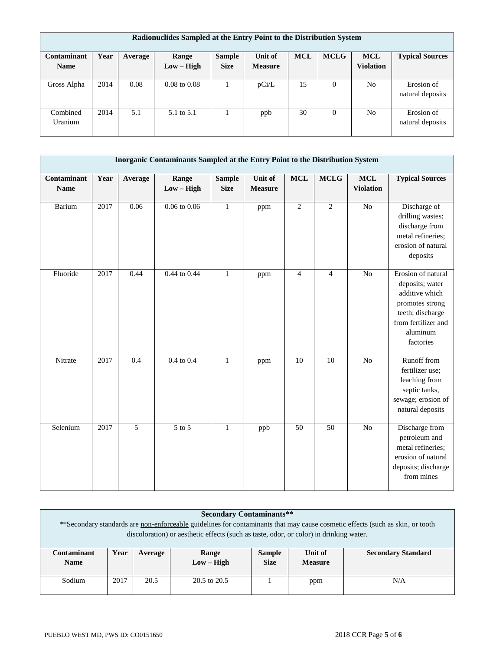| Radionuclides Sampled at the Entry Point to the Distribution System |      |         |                         |               |                |            |             |                  |                        |  |
|---------------------------------------------------------------------|------|---------|-------------------------|---------------|----------------|------------|-------------|------------------|------------------------|--|
| Contaminant                                                         | Year | Average | Range                   | <b>Sample</b> | Unit of        | <b>MCL</b> | <b>MCLG</b> | <b>MCL</b>       | <b>Typical Sources</b> |  |
| <b>Name</b>                                                         |      |         | $Low - High$            | <b>Size</b>   | <b>Measure</b> |            |             | <b>Violation</b> |                        |  |
|                                                                     |      |         |                         |               |                |            |             |                  |                        |  |
| Gross Alpha                                                         | 2014 | 0.08    | $0.08 \text{ to } 0.08$ |               | pCi/L          | 15         | $\Omega$    | N <sub>o</sub>   | Erosion of             |  |
|                                                                     |      |         |                         |               |                |            |             |                  | natural deposits       |  |
|                                                                     |      |         |                         |               |                |            |             |                  |                        |  |
| Combined                                                            | 2014 | 5.1     | 5.1 to 5.1              |               | ppb            | 30         | $\Omega$    | N <sub>0</sub>   | Erosion of             |  |
| Uranium                                                             |      |         |                         |               |                |            |             |                  | natural deposits       |  |
|                                                                     |      |         |                         |               |                |            |             |                  |                        |  |

|                            |      |                | Inorganic Contaminants Sampled at the Entry Point to the Distribution System |                              |                           |                |                |                                |                                                                                                                                                |
|----------------------------|------|----------------|------------------------------------------------------------------------------|------------------------------|---------------------------|----------------|----------------|--------------------------------|------------------------------------------------------------------------------------------------------------------------------------------------|
| Contaminant<br><b>Name</b> | Year | Average        | Range<br>$Low - High$                                                        | <b>Sample</b><br><b>Size</b> | Unit of<br><b>Measure</b> | <b>MCL</b>     | MCLG           | <b>MCL</b><br><b>Violation</b> | <b>Typical Sources</b>                                                                                                                         |
| Barium                     | 2017 | 0.06           | $0.06$ to $0.06$                                                             | $\mathbf{1}$                 | ppm                       | $\overline{2}$ | 2              | N <sub>o</sub>                 | Discharge of<br>drilling wastes;<br>discharge from<br>metal refineries;<br>erosion of natural<br>deposits                                      |
| Fluoride                   | 2017 | 0.44           | 0.44 to 0.44                                                                 | $\mathbf{1}$                 | ppm                       | $\overline{4}$ | $\overline{4}$ | N <sub>o</sub>                 | Erosion of natural<br>deposits; water<br>additive which<br>promotes strong<br>teeth; discharge<br>from fertilizer and<br>aluminum<br>factories |
| Nitrate                    | 2017 | 0.4            | 0.4 to 0.4                                                                   | $\mathbf{1}$                 | ppm                       | 10             | 10             | N <sub>o</sub>                 | Runoff from<br>fertilizer use;<br>leaching from<br>septic tanks,<br>sewage; erosion of<br>natural deposits                                     |
| Selenium                   | 2017 | $\overline{5}$ | $\overline{5}$ to $\overline{5}$                                             | $\mathbf{1}$                 | ppb                       | 50             | 50             | N <sub>o</sub>                 | Discharge from<br>petroleum and<br>metal refineries;<br>erosion of natural<br>deposits; discharge<br>from mines                                |

| <b>Secondary Contaminants**</b><br>** Secondary standards are non-enforceable guidelines for contaminants that may cause cosmetic effects (such as skin, or tooth<br>discoloration) or aesthetic effects (such as taste, odor, or color) in drinking water. |      |                                        |                                                                                                                 |  |  |  |  |  |  |  |
|-------------------------------------------------------------------------------------------------------------------------------------------------------------------------------------------------------------------------------------------------------------|------|----------------------------------------|-----------------------------------------------------------------------------------------------------------------|--|--|--|--|--|--|--|
| Contaminant<br><b>Name</b>                                                                                                                                                                                                                                  | Year | Average                                | <b>Secondary Standard</b><br>Unit of<br>Range<br><b>Sample</b><br>$Low - High$<br><b>Size</b><br><b>Measure</b> |  |  |  |  |  |  |  |
| Sodium                                                                                                                                                                                                                                                      | 2017 | 20.5<br>$20.5$ to $20.5$<br>N/A<br>ppm |                                                                                                                 |  |  |  |  |  |  |  |